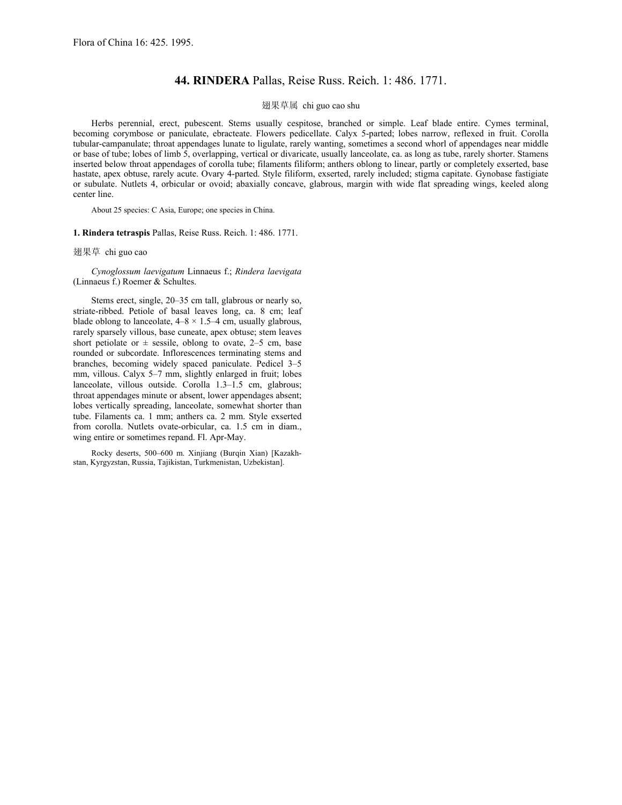## **44. RINDERA** Pallas, Reise Russ. Reich. 1: 486. 1771.

## 翅果草属 chi guo cao shu

Herbs perennial, erect, pubescent. Stems usually cespitose, branched or simple. Leaf blade entire. Cymes terminal, becoming corymbose or paniculate, ebracteate. Flowers pedicellate. Calyx 5-parted; lobes narrow, reflexed in fruit. Corolla tubular-campanulate; throat appendages lunate to ligulate, rarely wanting, sometimes a second whorl of appendages near middle or base of tube; lobes of limb 5, overlapping, vertical or divaricate, usually lanceolate, ca. as long as tube, rarely shorter. Stamens inserted below throat appendages of corolla tube; filaments filiform; anthers oblong to linear, partly or completely exserted, base hastate, apex obtuse, rarely acute. Ovary 4-parted. Style filiform, exserted, rarely included; stigma capitate. Gynobase fastigiate or subulate. Nutlets 4, orbicular or ovoid; abaxially concave, glabrous, margin with wide flat spreading wings, keeled along center line.

About 25 species: C Asia, Europe; one species in China.

**1. Rindera tetraspis** Pallas, Reise Russ. Reich. 1: 486. 1771.

翅果草 chi guo cao

*Cynoglossum laevigatum* Linnaeus f.; *Rindera laevigata* (Linnaeus f.) Roemer & Schultes.

Stems erect, single, 20–35 cm tall, glabrous or nearly so, striate-ribbed. Petiole of basal leaves long, ca. 8 cm; leaf blade oblong to lanceolate,  $4-8 \times 1.5-4$  cm, usually glabrous, rarely sparsely villous, base cuneate, apex obtuse; stem leaves short petiolate or  $\pm$  sessile, oblong to ovate, 2–5 cm, base rounded or subcordate. Inflorescences terminating stems and branches, becoming widely spaced paniculate. Pedicel 3–5 mm, villous. Calyx 5–7 mm, slightly enlarged in fruit; lobes lanceolate, villous outside. Corolla 1.3–1.5 cm, glabrous; throat appendages minute or absent, lower appendages absent; lobes vertically spreading, lanceolate, somewhat shorter than tube. Filaments ca. 1 mm; anthers ca. 2 mm. Style exserted from corolla. Nutlets ovate-orbicular, ca. 1.5 cm in diam., wing entire or sometimes repand. Fl. Apr-May.

Rocky deserts, 500–600 m. Xinjiang (Burqin Xian) [Kazakhstan, Kyrgyzstan, Russia, Tajikistan, Turkmenistan, Uzbekistan].